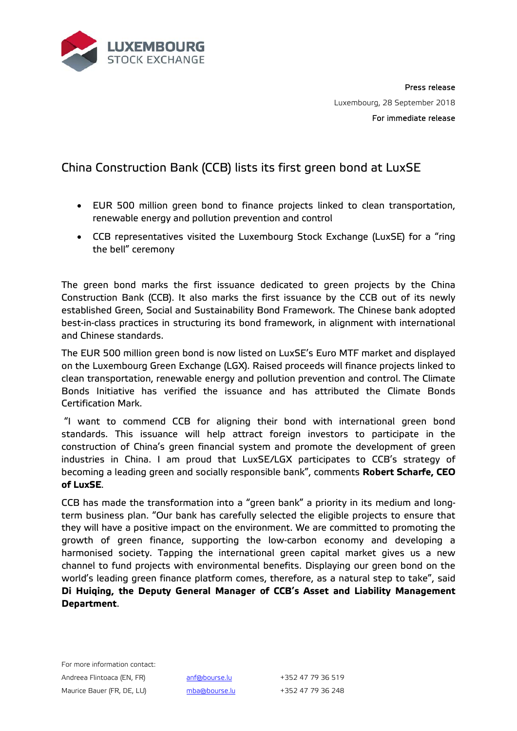

Press release Luxembourg, 28 September 2018 For immediate release

## China Construction Bank (CCB) lists its first green bond at LuxSE

- EUR 500 million green bond to finance projects linked to clean transportation, renewable energy and pollution prevention and control
- CCB representatives visited the Luxembourg Stock Exchange (LuxSE) for a "ring the bell" ceremony

The green bond marks the first issuance dedicated to green projects by the China Construction Bank (CCB). It also marks the first issuance by the CCB out of its newly established Green, Social and Sustainability Bond Framework. The Chinese bank adopted best-in-class practices in structuring its bond framework, in alignment with international and Chinese standards.

The EUR 500 million green bond is now listed on LuxSE's Euro MTF market and displayed on the Luxembourg Green Exchange (LGX). Raised proceeds will finance projects linked to clean transportation, renewable energy and pollution prevention and control. The Climate Bonds Initiative has verified the issuance and has attributed the Climate Bonds Certification Mark.

"I want to commend CCB for aligning their bond with international green bond standards. This issuance will help attract foreign investors to participate in the construction of China's green financial system and promote the development of green industries in China. I am proud that LuxSE/LGX participates to CCB's strategy of becoming a leading green and socially responsible bank", comments **Robert Scharfe, CEO of LuxSE**.

CCB has made the transformation into a "green bank" a priority in its medium and longterm business plan. "Our bank has carefully selected the eligible projects to ensure that they will have a positive impact on the environment. We are committed to promoting the growth of green finance, supporting the low-carbon economy and developing a harmonised society. Tapping the international green capital market gives us a new channel to fund projects with environmental benefits. Displaying our green bond on the world's leading green finance platform comes, therefore, as a natural step to take", said **Di Huiqing, the Deputy General Manager of CCB's Asset and Liability Management Department**.